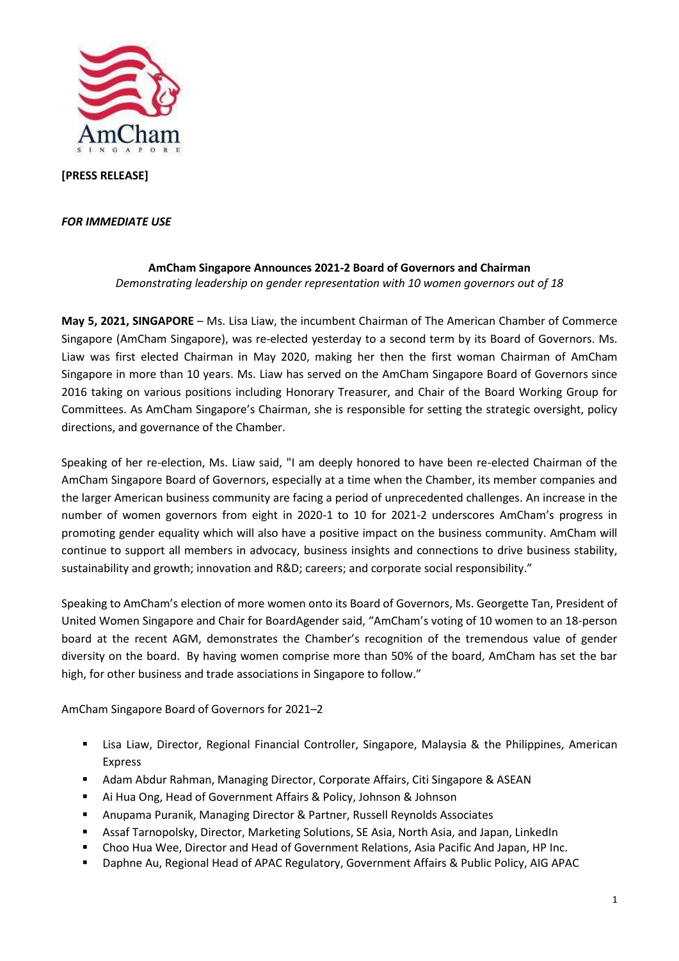

**[PRESS RELEASE]**

## *FOR IMMEDIATE USE*

## **AmCham Singapore Announces 2021-2 Board of Governors and Chairman** *Demonstrating leadership on gender representation with 10 women governors out of 18*

**May 5, 2021, SINGAPORE** – Ms. Lisa Liaw, the incumbent Chairman of The American Chamber of Commerce Singapore (AmCham Singapore), was re-elected yesterday to a second term by its Board of Governors. Ms. Liaw was first elected Chairman in May 2020, making her then the first woman Chairman of AmCham Singapore in more than 10 years. Ms. Liaw has served on the AmCham Singapore Board of Governors since 2016 taking on various positions including Honorary Treasurer, and Chair of the Board Working Group for Committees. As AmCham Singapore's Chairman, she is responsible for setting the strategic oversight, policy directions, and governance of the Chamber.

Speaking of her re-election, Ms. Liaw said, "I am deeply honored to have been re-elected Chairman of the AmCham Singapore Board of Governors, especially at a time when the Chamber, its member companies and the larger American business community are facing a period of unprecedented challenges. An increase in the number of women governors from eight in 2020-1 to 10 for 2021-2 underscores AmCham's progress in promoting gender equality which will also have a positive impact on the business community. AmCham will continue to support all members in advocacy, business insights and connections to drive business stability, sustainability and growth; innovation and R&D; careers; and corporate social responsibility."

Speaking to AmCham's election of more women onto its Board of Governors, Ms. Georgette Tan, President of United Women Singapore and Chair for BoardAgender said, "AmCham's voting of 10 women to an 18-person board at the recent AGM, demonstrates the Chamber's recognition of the tremendous value of gender diversity on the board. By having women comprise more than 50% of the board, AmCham has set the bar high, for other business and trade associations in Singapore to follow."

AmCham Singapore Board of Governors for 2021–2

- **E** Lisa Liaw, Director, Regional Financial Controller, Singapore, Malaysia & the Philippines, American Express
- Adam Abdur Rahman, Managing Director, Corporate Affairs, Citi Singapore & ASEAN
- Ai Hua Ong, Head of Government Affairs & Policy, Johnson & Johnson
- Anupama Puranik, Managing Director & Partner, Russell Reynolds Associates
- Assaf Tarnopolsky, Director, Marketing Solutions, SE Asia, North Asia, and Japan, LinkedIn
- Choo Hua Wee, Director and Head of Government Relations, Asia Pacific And Japan, HP Inc.
- Daphne Au, Regional Head of APAC Regulatory, Government Affairs & Public Policy, AIG APAC